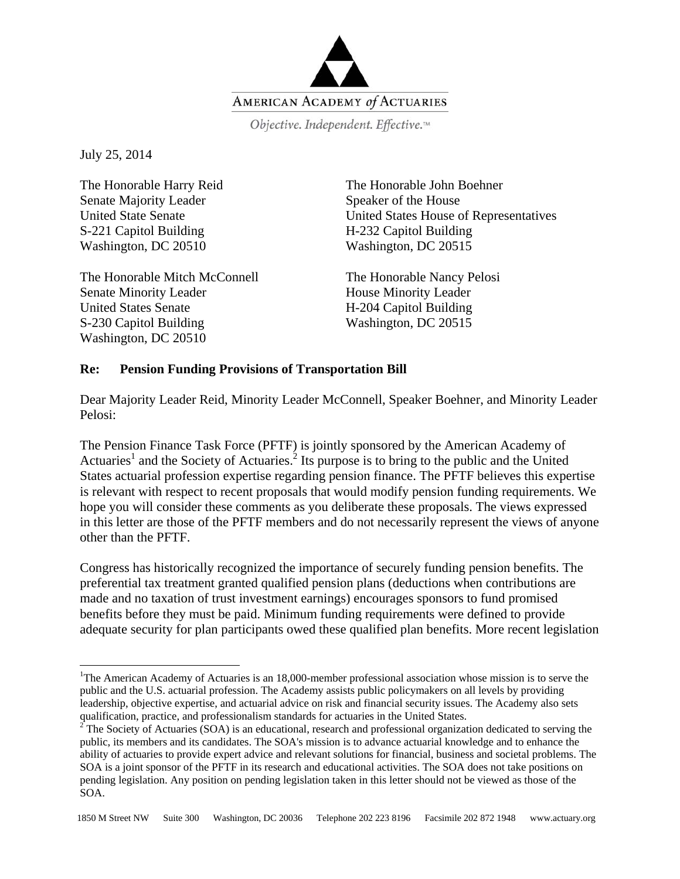

Objective. Independent. Effective.™

July 25, 2014

 $\overline{a}$ 

The Honorable Harry Reid Senate Majority Leader United State Senate S-221 Capitol Building Washington, DC 20510

The Honorable Mitch McConnell Senate Minority Leader United States Senate S-230 Capitol Building Washington, DC 20510

The Honorable John Boehner Speaker of the House United States House of Representatives H-232 Capitol Building Washington, DC 20515

The Honorable Nancy Pelosi House Minority Leader H-204 Capitol Building Washington, DC 20515

## **Re: Pension Funding Provisions of Transportation Bill**

Dear Majority Leader Reid, Minority Leader McConnell, Speaker Boehner, and Minority Leader Pelosi:

The Pension Finance Task Force (PFTF) is jointly sponsored by the American Academy of Actuaries<sup>1</sup> and the Society of Actuaries.<sup>2</sup> Its purpose is to bring to the public and the United States actuarial profession expertise regarding pension finance. The PFTF believes this expertise is relevant with respect to recent proposals that would modify pension funding requirements. We hope you will consider these comments as you deliberate these proposals. The views expressed in this letter are those of the PFTF members and do not necessarily represent the views of anyone other than the PFTF.

Congress has historically recognized the importance of securely funding pension benefits. The preferential tax treatment granted qualified pension plans (deductions when contributions are made and no taxation of trust investment earnings) encourages sponsors to fund promised benefits before they must be paid. Minimum funding requirements were defined to provide adequate security for plan participants owed these qualified plan benefits. More recent legislation

<sup>&</sup>lt;sup>1</sup>The American Academy of Actuaries is an 18,000-member professional association whose mission is to serve the public and the U.S. actuarial profession. The Academy assists public policymakers on all levels by providing leadership, objective expertise, and actuarial advice on risk and financial security issues. The Academy also sets qualification, practice, and professionalism standards for actuaries in the United States. 2

 $2^2$ The Society of Actuaries (SOA) is an educational, research and professional organization dedicated to serving the public, its members and its candidates. The SOA's mission is to advance actuarial knowledge and to enhance the ability of actuaries to provide expert advice and relevant solutions for financial, business and societal problems. The SOA is a joint sponsor of the PFTF in its research and educational activities. The SOA does not take positions on pending legislation. Any position on pending legislation taken in this letter should not be viewed as those of the SOA.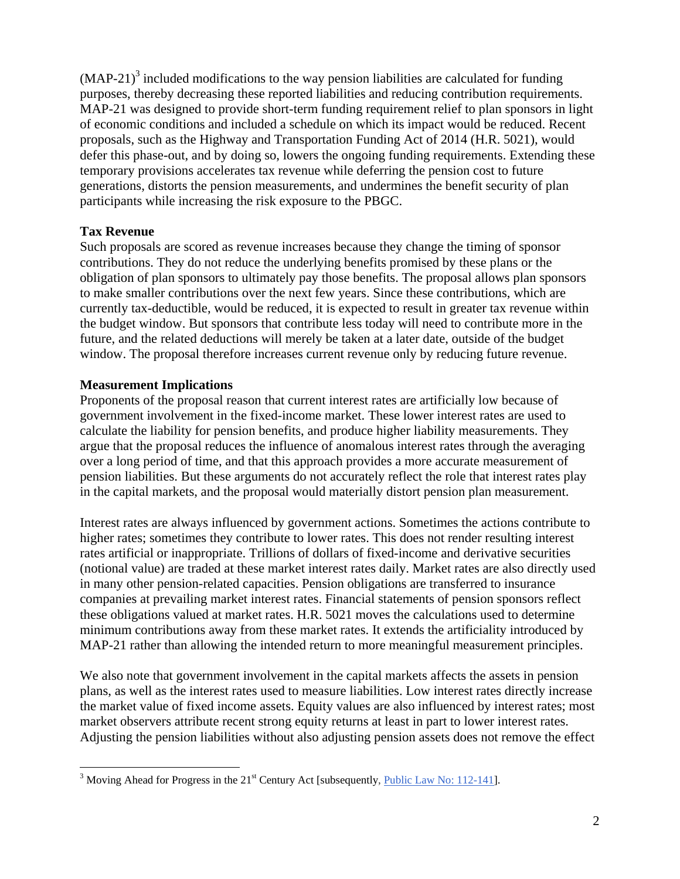$(MAP-21)<sup>3</sup>$  included modifications to the way pension liabilities are calculated for funding purposes, thereby decreasing these reported liabilities and reducing contribution requirements. MAP-21 was designed to provide short-term funding requirement relief to plan sponsors in light of economic conditions and included a schedule on which its impact would be reduced. Recent proposals, such as the Highway and Transportation Funding Act of 2014 (H.R. 5021), would defer this phase-out, and by doing so, lowers the ongoing funding requirements. Extending these temporary provisions accelerates tax revenue while deferring the pension cost to future generations, distorts the pension measurements, and undermines the benefit security of plan participants while increasing the risk exposure to the PBGC.

## **Tax Revenue**

Such proposals are scored as revenue increases because they change the timing of sponsor contributions. They do not reduce the underlying benefits promised by these plans or the obligation of plan sponsors to ultimately pay those benefits. The proposal allows plan sponsors to make smaller contributions over the next few years. Since these contributions, which are currently tax-deductible, would be reduced, it is expected to result in greater tax revenue within the budget window. But sponsors that contribute less today will need to contribute more in the future, and the related deductions will merely be taken at a later date, outside of the budget window. The proposal therefore increases current revenue only by reducing future revenue.

## **Measurement Implications**

Proponents of the proposal reason that current interest rates are artificially low because of government involvement in the fixed-income market. These lower interest rates are used to calculate the liability for pension benefits, and produce higher liability measurements. They argue that the proposal reduces the influence of anomalous interest rates through the averaging over a long period of time, and that this approach provides a more accurate measurement of pension liabilities. But these arguments do not accurately reflect the role that interest rates play in the capital markets, and the proposal would materially distort pension plan measurement.

Interest rates are always influenced by government actions. Sometimes the actions contribute to higher rates; sometimes they contribute to lower rates. This does not render resulting interest rates artificial or inappropriate. Trillions of dollars of fixed-income and derivative securities (notional value) are traded at these market interest rates daily. Market rates are also directly used in many other pension-related capacities. Pension obligations are transferred to insurance companies at prevailing market interest rates. Financial statements of pension sponsors reflect these obligations valued at market rates. H.R. 5021 moves the calculations used to determine minimum contributions away from these market rates. It extends the artificiality introduced by MAP-21 rather than allowing the intended return to more meaningful measurement principles.

We also note that government involvement in the capital markets affects the assets in pension plans, as well as the interest rates used to measure liabilities. Low interest rates directly increase the market value of fixed income assets. Equity values are also influenced by interest rates; most market observers attribute recent strong equity returns at least in part to lower interest rates. Adjusting the pension liabilities without also adjusting pension assets does not remove the effect

 $\frac{3}{3}$  Moving Ahead for Progress in the 21<sup>st</sup> Century Act [subsequently, *Public Law No: 112-141*].